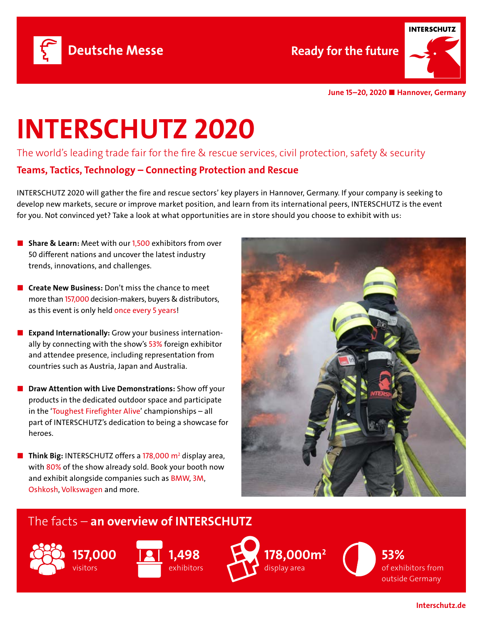



June 15–20, 2020 ■ Hannover, Germany

## INTERSCHUTZ 2020

The world's leading trade fair for the fire & rescue services, civil protection, safety & security Teams, Tactics, Technology – Connecting Protection and Rescue

INTERSCHUTZ 2020 will gather the fire and rescue sectors' key players in Hannover, Germany. If your company is seeking to develop new markets, secure or improve market position, and learn from its international peers, INTERSCHUTZ is the event for you. Not convinced yet? Take a look at what opportunities are in store should you choose to exhibit with us:

- Share & Learn: Meet with our 1,500 exhibitors from over 50 different nations and uncover the latest industry trends, innovations, and challenges.
- **Create New Business:** Don't miss the chance to meet more than 157,000 decision-makers, buyers & distributors, as this event is only held once every 5 years!
- Expand Internationally: Grow your business internationally by connecting with the show's 53% foreign exhibitor and attendee presence, including representation from countries such as Austria, Japan and Australia.
- Draw Attention with Live Demonstrations: Show off your products in the dedicated outdoor space and participate in the 'Toughest Firefighter Alive' championships – all part of INTERSCHUTZ's dedication to being a showcase for heroes.
- **Think Big:** INTERSCHUTZ offers a  $178,000$  m<sup>2</sup> display area, with 80% of the show already sold. Book your booth now and exhibit alongside companies such as BMW, 3M, Oshkosh, Volkswagen and more.



## The facts – an overview of INTERSCHUTZ





178,000m2 display area

53% of exhibitors from outside Germany